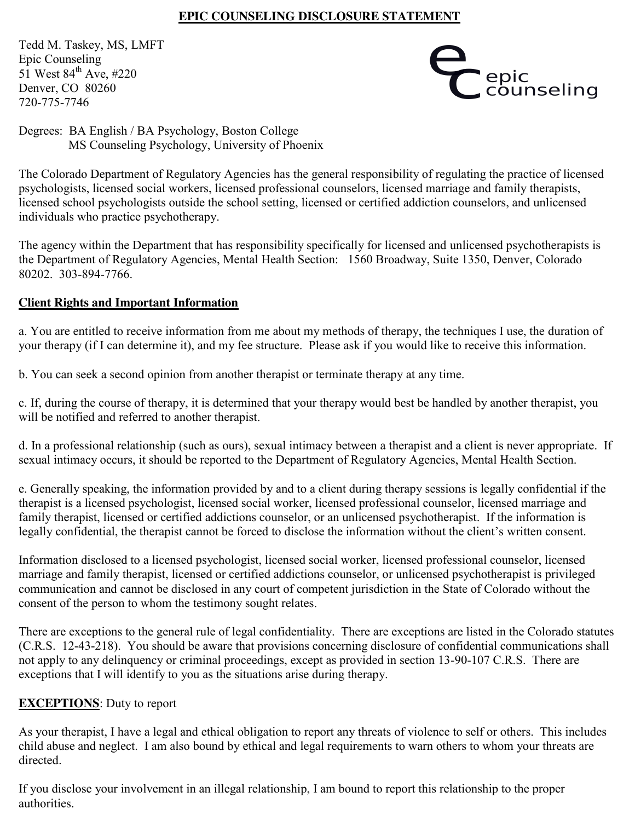### **EPIC COUNSELING DISCLOSURE STATEMENT**

Tedd M. Taskey, MS, LMFT Epic Counseling 51 West  $84^{th}$  Ave, #220 Denver, CO 80260 720-775-7746



Degrees: BA English / BA Psychology, Boston College MS Counseling Psychology, University of Phoenix

The Colorado Department of Regulatory Agencies has the general responsibility of regulating the practice of licensed psychologists, licensed social workers, licensed professional counselors, licensed marriage and family therapists, licensed school psychologists outside the school setting, licensed or certified addiction counselors, and unlicensed individuals who practice psychotherapy.

The agency within the Department that has responsibility specifically for licensed and unlicensed psychotherapists is the Department of Regulatory Agencies, Mental Health Section: 1560 Broadway, Suite 1350, Denver, Colorado 80202. 303-894-7766.

### **Client Rights and Important Information**

a. You are entitled to receive information from me about my methods of therapy, the techniques I use, the duration of your therapy (if I can determine it), and my fee structure. Please ask if you would like to receive this information.

b. You can seek a second opinion from another therapist or terminate therapy at any time.

c. If, during the course of therapy, it is determined that your therapy would best be handled by another therapist, you will be notified and referred to another therapist.

d. In a professional relationship (such as ours), sexual intimacy between a therapist and a client is never appropriate. If sexual intimacy occurs, it should be reported to the Department of Regulatory Agencies, Mental Health Section.

e. Generally speaking, the information provided by and to a client during therapy sessions is legally confidential if the therapist is a licensed psychologist, licensed social worker, licensed professional counselor, licensed marriage and family therapist, licensed or certified addictions counselor, or an unlicensed psychotherapist. If the information is legally confidential, the therapist cannot be forced to disclose the information without the client's written consent.

Information disclosed to a licensed psychologist, licensed social worker, licensed professional counselor, licensed marriage and family therapist, licensed or certified addictions counselor, or unlicensed psychotherapist is privileged communication and cannot be disclosed in any court of competent jurisdiction in the State of Colorado without the consent of the person to whom the testimony sought relates.

There are exceptions to the general rule of legal confidentiality. There are exceptions are listed in the Colorado statutes (C.R.S. 12-43-218). You should be aware that provisions concerning disclosure of confidential communications shall not apply to any delinquency or criminal proceedings, except as provided in section 13-90-107 C.R.S. There are exceptions that I will identify to you as the situations arise during therapy.

## **EXCEPTIONS**: Duty to report

As your therapist, I have a legal and ethical obligation to report any threats of violence to self or others. This includes child abuse and neglect. I am also bound by ethical and legal requirements to warn others to whom your threats are directed.

If you disclose your involvement in an illegal relationship, I am bound to report this relationship to the proper authorities.